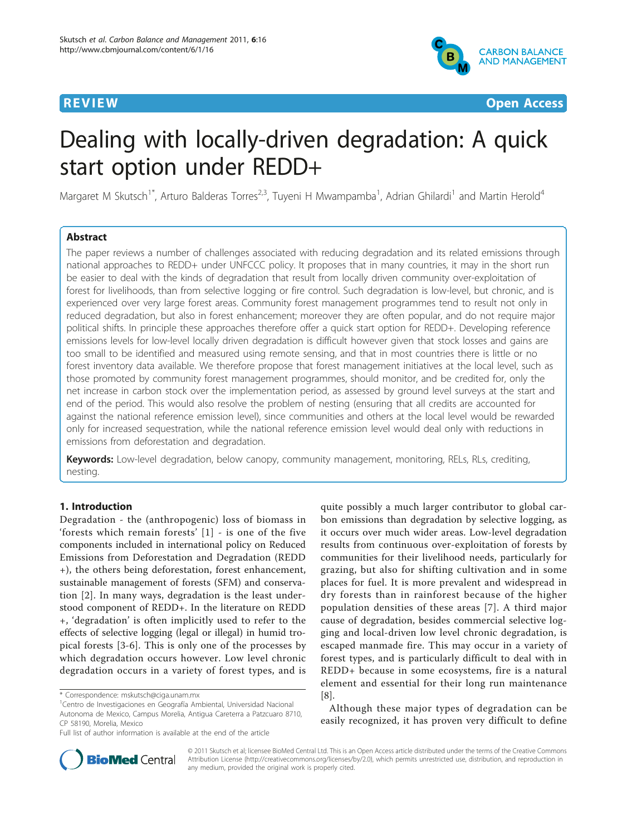

**REVIEW CONTROL** CONTROL CONTROL CONTROL CONTROL CONTROL CONTROL CONTROL CONTROL CONTROL CONTROL CONTROL CONTROL CONTROL CONTROL CONTROL CONTROL CONTROL CONTROL CONTROL CONTROL CONTROL CONTROL CONTROL CONTROL CONTROL CONTR

# Dealing with locally-driven degradation: A quick start option under REDD+

Margaret M Skutsch<sup>1\*</sup>, Arturo Balderas Torres<sup>2,3</sup>, Tuyeni H Mwampamba<sup>1</sup>, Adrian Ghilardi<sup>1</sup> and Martin Herold<sup>4</sup>

# Abstract

The paper reviews a number of challenges associated with reducing degradation and its related emissions through national approaches to REDD+ under UNFCCC policy. It proposes that in many countries, it may in the short run be easier to deal with the kinds of degradation that result from locally driven community over-exploitation of forest for livelihoods, than from selective logging or fire control. Such degradation is low-level, but chronic, and is experienced over very large forest areas. Community forest management programmes tend to result not only in reduced degradation, but also in forest enhancement; moreover they are often popular, and do not require major political shifts. In principle these approaches therefore offer a quick start option for REDD+. Developing reference emissions levels for low-level locally driven degradation is difficult however given that stock losses and gains are too small to be identified and measured using remote sensing, and that in most countries there is little or no forest inventory data available. We therefore propose that forest management initiatives at the local level, such as those promoted by community forest management programmes, should monitor, and be credited for, only the net increase in carbon stock over the implementation period, as assessed by ground level surveys at the start and end of the period. This would also resolve the problem of nesting (ensuring that all credits are accounted for against the national reference emission level), since communities and others at the local level would be rewarded only for increased sequestration, while the national reference emission level would deal only with reductions in emissions from deforestation and degradation.

Keywords: Low-level degradation, below canopy, community management, monitoring, RELs, RLs, crediting, nesting.

# 1. Introduction

Degradation - the (anthropogenic) loss of biomass in 'forests which remain forests' [[1](#page-6-0)] - is one of the five components included in international policy on Reduced Emissions from Deforestation and Degradation (REDD +), the others being deforestation, forest enhancement, sustainable management of forests (SFM) and conservation [\[2](#page-6-0)]. In many ways, degradation is the least understood component of REDD+. In the literature on REDD +, 'degradation' is often implicitly used to refer to the effects of selective logging (legal or illegal) in humid tropical forests [\[3](#page-6-0)-[6](#page-6-0)]. This is only one of the processes by which degradation occurs however. Low level chronic degradation occurs in a variety of forest types, and is

quite possibly a much larger contributor to global carbon emissions than degradation by selective logging, as it occurs over much wider areas. Low-level degradation results from continuous over-exploitation of forests by communities for their livelihood needs, particularly for grazing, but also for shifting cultivation and in some places for fuel. It is more prevalent and widespread in dry forests than in rainforest because of the higher population densities of these areas [\[7\]](#page-6-0). A third major cause of degradation, besides commercial selective logging and local-driven low level chronic degradation, is escaped manmade fire. This may occur in a variety of forest types, and is particularly difficult to deal with in REDD+ because in some ecosystems, fire is a natural element and essential for their long run maintenance [[8\]](#page-6-0).

Although these major types of degradation can be easily recognized, it has proven very difficult to define



© 2011 Skutsch et al; licensee BioMed Central Ltd. This is an Open Access article distributed under the terms of the Creative Commons Attribution License [\(http://creativecommons.org/licenses/by/2.0](http://creativecommons.org/licenses/by/2.0)), which permits unrestricted use, distribution, and reproduction in any medium, provided the original work is properly cited.

<sup>\*</sup> Correspondence: [mskutsch@ciga.unam.mx](mailto:mskutsch@ciga.unam.mx)

<sup>&</sup>lt;sup>1</sup>Centro de Investigaciones en Geografía Ambiental, Universidad Nacional Autonoma de Mexico, Campus Morelia, Antigua Careterra a Patzcuaro 8710, CP 58190, Morelia, Mexico

Full list of author information is available at the end of the article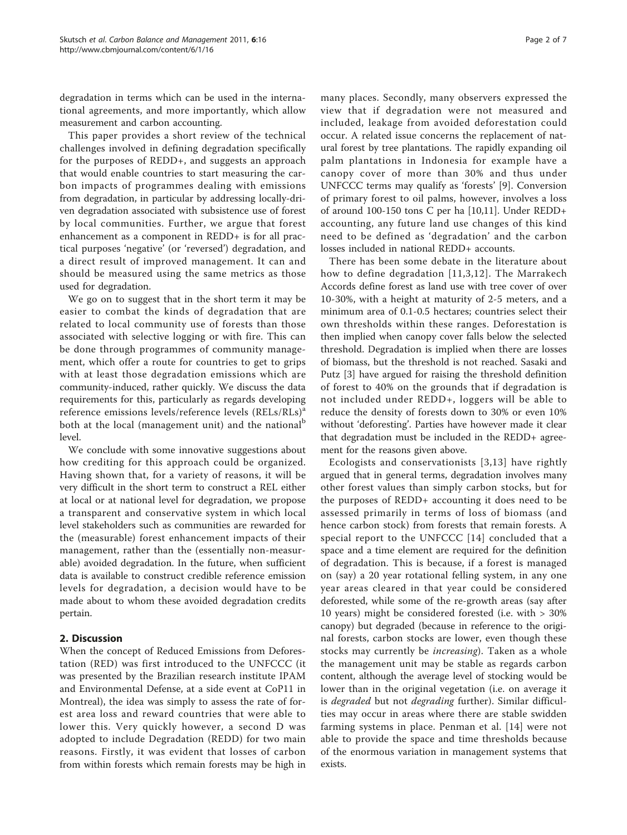degradation in terms which can be used in the international agreements, and more importantly, which allow measurement and carbon accounting.

This paper provides a short review of the technical challenges involved in defining degradation specifically for the purposes of REDD+, and suggests an approach that would enable countries to start measuring the carbon impacts of programmes dealing with emissions from degradation, in particular by addressing locally-driven degradation associated with subsistence use of forest by local communities. Further, we argue that forest enhancement as a component in REDD+ is for all practical purposes 'negative' (or 'reversed') degradation, and a direct result of improved management. It can and should be measured using the same metrics as those used for degradation.

We go on to suggest that in the short term it may be easier to combat the kinds of degradation that are related to local community use of forests than those associated with selective logging or with fire. This can be done through programmes of community management, which offer a route for countries to get to grips with at least those degradation emissions which are community-induced, rather quickly. We discuss the data requirements for this, particularly as regards developing reference emissions levels/reference levels (RELs/RLs)<sup>a</sup> both at the local (management unit) and the national<sup>b</sup> level.

We conclude with some innovative suggestions about how crediting for this approach could be organized. Having shown that, for a variety of reasons, it will be very difficult in the short term to construct a REL either at local or at national level for degradation, we propose a transparent and conservative system in which local level stakeholders such as communities are rewarded for the (measurable) forest enhancement impacts of their management, rather than the (essentially non-measurable) avoided degradation. In the future, when sufficient data is available to construct credible reference emission levels for degradation, a decision would have to be made about to whom these avoided degradation credits pertain.

# 2. Discussion

When the concept of Reduced Emissions from Deforestation (RED) was first introduced to the UNFCCC (it was presented by the Brazilian research institute IPAM and Environmental Defense, at a side event at CoP11 in Montreal), the idea was simply to assess the rate of forest area loss and reward countries that were able to lower this. Very quickly however, a second D was adopted to include Degradation (REDD) for two main reasons. Firstly, it was evident that losses of carbon from within forests which remain forests may be high in many places. Secondly, many observers expressed the view that if degradation were not measured and included, leakage from avoided deforestation could occur. A related issue concerns the replacement of natural forest by tree plantations. The rapidly expanding oil palm plantations in Indonesia for example have a canopy cover of more than 30% and thus under UNFCCC terms may qualify as 'forests' [\[9](#page-6-0)]. Conversion of primary forest to oil palms, however, involves a loss of around 100-150 tons C per ha [[10,11](#page-6-0)]. Under REDD+ accounting, any future land use changes of this kind need to be defined as 'degradation' and the carbon losses included in national REDD+ accounts.

There has been some debate in the literature about how to define degradation [\[11,3,12\]](#page-6-0). The Marrakech Accords define forest as land use with tree cover of over 10-30%, with a height at maturity of 2-5 meters, and a minimum area of 0.1-0.5 hectares; countries select their own thresholds within these ranges. Deforestation is then implied when canopy cover falls below the selected threshold. Degradation is implied when there are losses of biomass, but the threshold is not reached. Sasaki and Putz [[3\]](#page-6-0) have argued for raising the threshold definition of forest to 40% on the grounds that if degradation is not included under REDD+, loggers will be able to reduce the density of forests down to 30% or even 10% without 'deforesting'. Parties have however made it clear that degradation must be included in the REDD+ agreement for the reasons given above.

Ecologists and conservationists [[3](#page-6-0),[13](#page-6-0)] have rightly argued that in general terms, degradation involves many other forest values than simply carbon stocks, but for the purposes of REDD+ accounting it does need to be assessed primarily in terms of loss of biomass (and hence carbon stock) from forests that remain forests. A special report to the UNFCCC [[14\]](#page-6-0) concluded that a space and a time element are required for the definition of degradation. This is because, if a forest is managed on (say) a 20 year rotational felling system, in any one year areas cleared in that year could be considered deforested, while some of the re-growth areas (say after 10 years) might be considered forested (i.e. with > 30% canopy) but degraded (because in reference to the original forests, carbon stocks are lower, even though these stocks may currently be increasing). Taken as a whole the management unit may be stable as regards carbon content, although the average level of stocking would be lower than in the original vegetation (i.e. on average it is degraded but not degrading further). Similar difficulties may occur in areas where there are stable swidden farming systems in place. Penman et al. [[14\]](#page-6-0) were not able to provide the space and time thresholds because of the enormous variation in management systems that exists.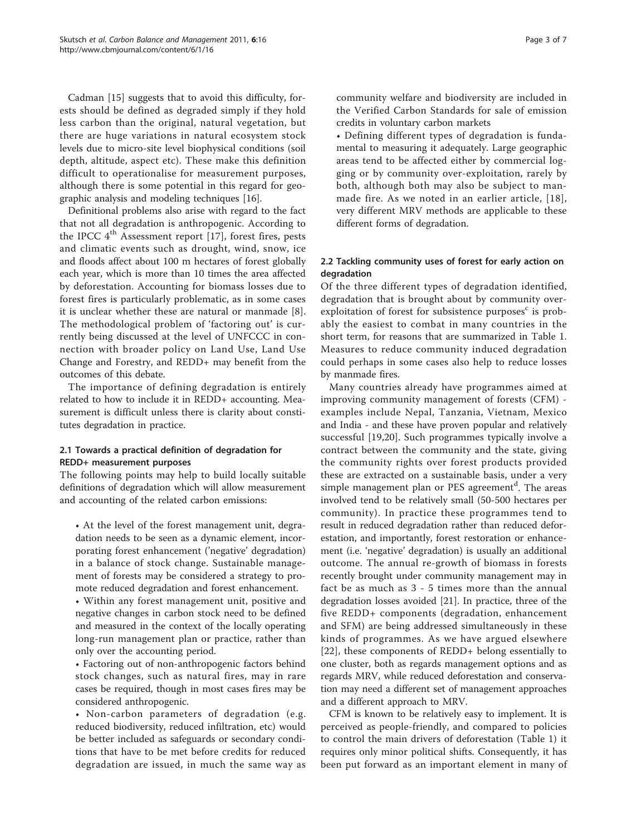Cadman [[15](#page-6-0)] suggests that to avoid this difficulty, forests should be defined as degraded simply if they hold less carbon than the original, natural vegetation, but there are huge variations in natural ecosystem stock levels due to micro-site level biophysical conditions (soil depth, altitude, aspect etc). These make this definition difficult to operationalise for measurement purposes, although there is some potential in this regard for geographic analysis and modeling techniques [[16\]](#page-6-0).

Definitional problems also arise with regard to the fact that not all degradation is anthropogenic. According to the IPCC  $4^{\text{th}}$  Assessment report [[17\]](#page-6-0), forest fires, pests and climatic events such as drought, wind, snow, ice and floods affect about 100 m hectares of forest globally each year, which is more than 10 times the area affected by deforestation. Accounting for biomass losses due to forest fires is particularly problematic, as in some cases it is unclear whether these are natural or manmade [\[8](#page-6-0)]. The methodological problem of 'factoring out' is currently being discussed at the level of UNFCCC in connection with broader policy on Land Use, Land Use Change and Forestry, and REDD+ may benefit from the outcomes of this debate.

The importance of defining degradation is entirely related to how to include it in REDD+ accounting. Measurement is difficult unless there is clarity about constitutes degradation in practice.

# 2.1 Towards a practical definition of degradation for REDD+ measurement purposes

The following points may help to build locally suitable definitions of degradation which will allow measurement and accounting of the related carbon emissions:

• At the level of the forest management unit, degradation needs to be seen as a dynamic element, incorporating forest enhancement ('negative' degradation) in a balance of stock change. Sustainable management of forests may be considered a strategy to promote reduced degradation and forest enhancement.

• Within any forest management unit, positive and negative changes in carbon stock need to be defined and measured in the context of the locally operating long-run management plan or practice, rather than only over the accounting period.

• Factoring out of non-anthropogenic factors behind stock changes, such as natural fires, may in rare cases be required, though in most cases fires may be considered anthropogenic.

• Non-carbon parameters of degradation (e.g. reduced biodiversity, reduced infiltration, etc) would be better included as safeguards or secondary conditions that have to be met before credits for reduced degradation are issued, in much the same way as community welfare and biodiversity are included in the Verified Carbon Standards for sale of emission credits in voluntary carbon markets

• Defining different types of degradation is fundamental to measuring it adequately. Large geographic areas tend to be affected either by commercial logging or by community over-exploitation, rarely by both, although both may also be subject to manmade fire. As we noted in an earlier article, [\[18\]](#page-6-0), very different MRV methods are applicable to these different forms of degradation.

# 2.2 Tackling community uses of forest for early action on degradation

Of the three different types of degradation identified, degradation that is brought about by community overexploitation of forest for subsistence purposes<sup>c</sup> is probably the easiest to combat in many countries in the short term, for reasons that are summarized in Table [1](#page-3-0). Measures to reduce community induced degradation could perhaps in some cases also help to reduce losses by manmade fires.

Many countries already have programmes aimed at improving community management of forests (CFM) examples include Nepal, Tanzania, Vietnam, Mexico and India - and these have proven popular and relatively successful [[19,20](#page-6-0)]. Such programmes typically involve a contract between the community and the state, giving the community rights over forest products provided these are extracted on a sustainable basis, under a very simple management plan or PES agreement<sup>d</sup>. The areas involved tend to be relatively small (50-500 hectares per community). In practice these programmes tend to result in reduced degradation rather than reduced deforestation, and importantly, forest restoration or enhancement (i.e. 'negative' degradation) is usually an additional outcome. The annual re-growth of biomass in forests recently brought under community management may in fact be as much as 3 - 5 times more than the annual degradation losses avoided [\[21](#page-6-0)]. In practice, three of the five REDD+ components (degradation, enhancement and SFM) are being addressed simultaneously in these kinds of programmes. As we have argued elsewhere [[22\]](#page-6-0), these components of REDD+ belong essentially to one cluster, both as regards management options and as regards MRV, while reduced deforestation and conservation may need a different set of management approaches and a different approach to MRV.

CFM is known to be relatively easy to implement. It is perceived as people-friendly, and compared to policies to control the main drivers of deforestation (Table [1](#page-3-0)) it requires only minor political shifts. Consequently, it has been put forward as an important element in many of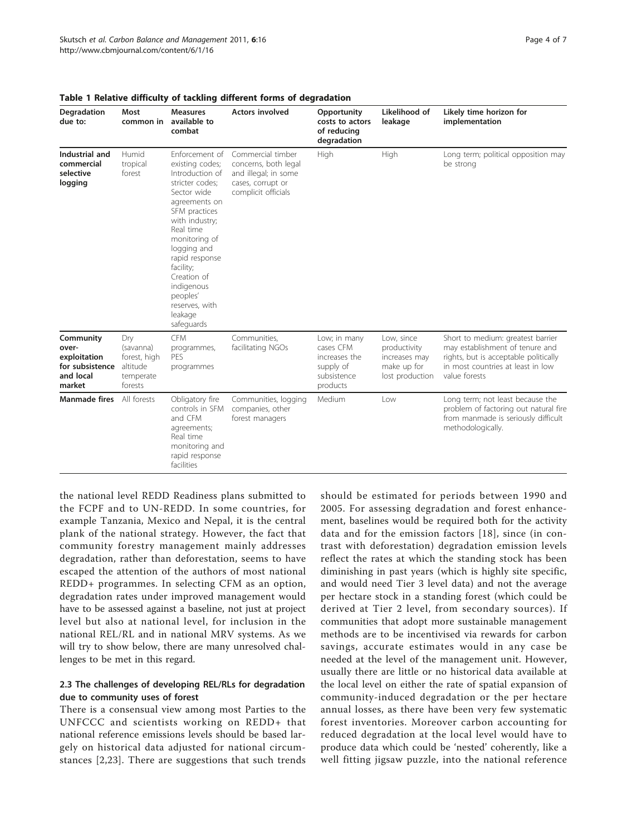| Degradation<br>due to:                                                       | Most<br>common in                                                    | <b>Measures</b><br>available to<br>combat                                                                                                                                                                                                                                                                  | <b>Actors involved</b>                                                                                        | Opportunity<br>costs to actors<br>of reducing<br>degradation                       | Likelihood of<br>leakage                                                      | Likely time horizon for<br>implementation                                                                                                                           |
|------------------------------------------------------------------------------|----------------------------------------------------------------------|------------------------------------------------------------------------------------------------------------------------------------------------------------------------------------------------------------------------------------------------------------------------------------------------------------|---------------------------------------------------------------------------------------------------------------|------------------------------------------------------------------------------------|-------------------------------------------------------------------------------|---------------------------------------------------------------------------------------------------------------------------------------------------------------------|
| Industrial and<br>commercial<br>selective<br>logging                         | Humid<br>tropical<br>forest                                          | Enforcement of<br>existing codes;<br>Introduction of<br>stricter codes;<br>Sector wide<br>agreements on<br>SFM practices<br>with industry;<br>Real time<br>monitoring of<br>logging and<br>rapid response<br>facility:<br>Creation of<br>indigenous<br>peoples'<br>reserves, with<br>leakage<br>safeguards | Commercial timber<br>concerns, both legal<br>and illegal; in some<br>cases, corrupt or<br>complicit officials | High                                                                               | High                                                                          | Long term; political opposition may<br>be strong                                                                                                                    |
| Community<br>over-<br>exploitation<br>for subsistence<br>and local<br>market | Dry<br>(savanna)<br>forest, high<br>altitude<br>temperate<br>forests | <b>CFM</b><br>programmes,<br>PFS<br>programmes                                                                                                                                                                                                                                                             | Communities,<br>facilitating NGOs                                                                             | Low; in many<br>cases CFM<br>increases the<br>supply of<br>subsistence<br>products | Low, since<br>productivity<br>increases may<br>make up for<br>lost production | Short to medium: greatest barrier<br>may establishment of tenure and<br>rights, but is acceptable politically<br>in most countries at least in low<br>value forests |
| <b>Manmade fires</b>                                                         | All forests                                                          | Obligatory fire<br>controls in SFM<br>and CFM<br>agreements;<br>Real time<br>monitoring and<br>rapid response<br>facilities                                                                                                                                                                                | Communities, logging<br>companies, other<br>forest managers                                                   | Medium                                                                             | Low                                                                           | Long term; not least because the<br>problem of factoring out natural fire<br>from manmade is seriously difficult<br>methodologically.                               |

<span id="page-3-0"></span>Table 1 Relative difficulty of tackling different forms of degradation

the national level REDD Readiness plans submitted to the FCPF and to UN-REDD. In some countries, for example Tanzania, Mexico and Nepal, it is the central plank of the national strategy. However, the fact that community forestry management mainly addresses degradation, rather than deforestation, seems to have escaped the attention of the authors of most national REDD+ programmes. In selecting CFM as an option, degradation rates under improved management would have to be assessed against a baseline, not just at project level but also at national level, for inclusion in the national REL/RL and in national MRV systems. As we will try to show below, there are many unresolved challenges to be met in this regard.

# 2.3 The challenges of developing REL/RLs for degradation due to community uses of forest

There is a consensual view among most Parties to the UNFCCC and scientists working on REDD+ that national reference emissions levels should be based largely on historical data adjusted for national circumstances [[2,23](#page-6-0)]. There are suggestions that such trends

should be estimated for periods between 1990 and 2005. For assessing degradation and forest enhancement, baselines would be required both for the activity data and for the emission factors [[18](#page-6-0)], since (in contrast with deforestation) degradation emission levels reflect the rates at which the standing stock has been diminishing in past years (which is highly site specific, and would need Tier 3 level data) and not the average per hectare stock in a standing forest (which could be derived at Tier 2 level, from secondary sources). If communities that adopt more sustainable management methods are to be incentivised via rewards for carbon savings, accurate estimates would in any case be needed at the level of the management unit. However, usually there are little or no historical data available at the local level on either the rate of spatial expansion of community-induced degradation or the per hectare annual losses, as there have been very few systematic forest inventories. Moreover carbon accounting for reduced degradation at the local level would have to produce data which could be 'nested' coherently, like a well fitting jigsaw puzzle, into the national reference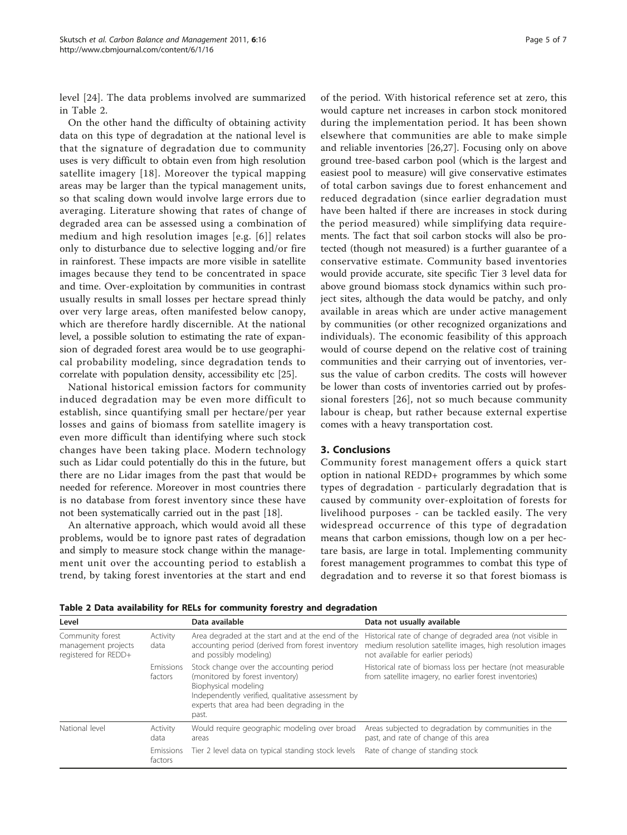level [\[24](#page-6-0)]. The data problems involved are summarized in Table 2.

On the other hand the difficulty of obtaining activity data on this type of degradation at the national level is that the signature of degradation due to community uses is very difficult to obtain even from high resolution satellite imagery [[18\]](#page-6-0). Moreover the typical mapping areas may be larger than the typical management units, so that scaling down would involve large errors due to averaging. Literature showing that rates of change of degraded area can be assessed using a combination of medium and high resolution images [e.g. [[6](#page-6-0)]] relates only to disturbance due to selective logging and/or fire in rainforest. These impacts are more visible in satellite images because they tend to be concentrated in space and time. Over-exploitation by communities in contrast usually results in small losses per hectare spread thinly over very large areas, often manifested below canopy, which are therefore hardly discernible. At the national level, a possible solution to estimating the rate of expansion of degraded forest area would be to use geographical probability modeling, since degradation tends to correlate with population density, accessibility etc [\[25\]](#page-6-0).

National historical emission factors for community induced degradation may be even more difficult to establish, since quantifying small per hectare/per year losses and gains of biomass from satellite imagery is even more difficult than identifying where such stock changes have been taking place. Modern technology such as Lidar could potentially do this in the future, but there are no Lidar images from the past that would be needed for reference. Moreover in most countries there is no database from forest inventory since these have not been systematically carried out in the past [\[18](#page-6-0)].

An alternative approach, which would avoid all these problems, would be to ignore past rates of degradation and simply to measure stock change within the management unit over the accounting period to establish a trend, by taking forest inventories at the start and end of the period. With historical reference set at zero, this would capture net increases in carbon stock monitored during the implementation period. It has been shown elsewhere that communities are able to make simple and reliable inventories [[26,27\]](#page-6-0). Focusing only on above ground tree-based carbon pool (which is the largest and easiest pool to measure) will give conservative estimates of total carbon savings due to forest enhancement and reduced degradation (since earlier degradation must have been halted if there are increases in stock during the period measured) while simplifying data requirements. The fact that soil carbon stocks will also be protected (though not measured) is a further guarantee of a conservative estimate. Community based inventories would provide accurate, site specific Tier 3 level data for above ground biomass stock dynamics within such project sites, although the data would be patchy, and only available in areas which are under active management by communities (or other recognized organizations and individuals). The economic feasibility of this approach would of course depend on the relative cost of training communities and their carrying out of inventories, versus the value of carbon credits. The costs will however be lower than costs of inventories carried out by professional foresters [[26\]](#page-6-0), not so much because community labour is cheap, but rather because external expertise comes with a heavy transportation cost.

# 3. Conclusions

Community forest management offers a quick start option in national REDD+ programmes by which some types of degradation - particularly degradation that is caused by community over-exploitation of forests for livelihood purposes - can be tackled easily. The very widespread occurrence of this type of degradation means that carbon emissions, though low on a per hectare basis, are large in total. Implementing community forest management programmes to combat this type of degradation and to reverse it so that forest biomass is

Table 2 Data availability for RELs for community forestry and degradation

| Level                                                           |                      | Data available                                                                                                                                                                                                  | Data not usually available                                                                                                                                                                                      |  |  |
|-----------------------------------------------------------------|----------------------|-----------------------------------------------------------------------------------------------------------------------------------------------------------------------------------------------------------------|-----------------------------------------------------------------------------------------------------------------------------------------------------------------------------------------------------------------|--|--|
| Community forest<br>management projects<br>registered for REDD+ | Activity<br>data     | accounting period (derived from forest inventory<br>and possibly modeling)                                                                                                                                      | Area degraded at the start and at the end of the Historical rate of change of degraded area (not visible in<br>medium resolution satellite images, high resolution images<br>not available for earlier periods) |  |  |
|                                                                 | Emissions<br>factors | Stock change over the accounting period<br>(monitored by forest inventory)<br>Biophysical modeling<br>Independently verified, qualitative assessment by<br>experts that area had been degrading in the<br>past. | Historical rate of biomass loss per hectare (not measurable<br>from satellite imagery, no earlier forest inventories)                                                                                           |  |  |
| National level                                                  | Activity<br>data     | Would require geographic modeling over broad<br>areas                                                                                                                                                           | Areas subjected to degradation by communities in the<br>past, and rate of change of this area                                                                                                                   |  |  |
|                                                                 | Emissions<br>factors | Tier 2 level data on typical standing stock levels                                                                                                                                                              | Rate of change of standing stock                                                                                                                                                                                |  |  |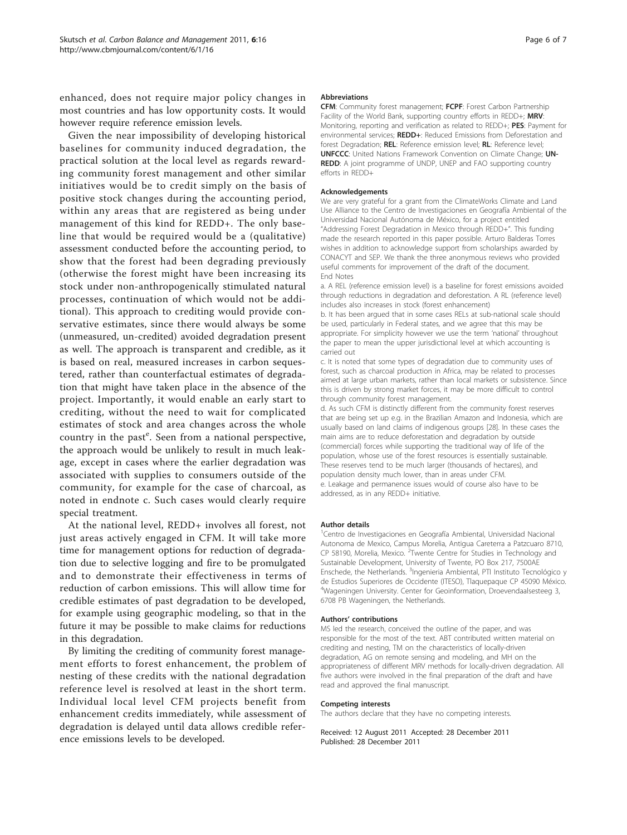enhanced, does not require major policy changes in most countries and has low opportunity costs. It would however require reference emission levels.

Given the near impossibility of developing historical baselines for community induced degradation, the practical solution at the local level as regards rewarding community forest management and other similar initiatives would be to credit simply on the basis of positive stock changes during the accounting period, within any areas that are registered as being under management of this kind for REDD+. The only baseline that would be required would be a (qualitative) assessment conducted before the accounting period, to show that the forest had been degrading previously (otherwise the forest might have been increasing its stock under non-anthropogenically stimulated natural processes, continuation of which would not be additional). This approach to crediting would provide conservative estimates, since there would always be some (unmeasured, un-credited) avoided degradation present as well. The approach is transparent and credible, as it is based on real, measured increases in carbon sequestered, rather than counterfactual estimates of degradation that might have taken place in the absence of the project. Importantly, it would enable an early start to crediting, without the need to wait for complicated estimates of stock and area changes across the whole country in the past<sup>e</sup>. Seen from a national perspective, the approach would be unlikely to result in much leakage, except in cases where the earlier degradation was associated with supplies to consumers outside of the community, for example for the case of charcoal, as noted in endnote c. Such cases would clearly require special treatment.

At the national level, REDD+ involves all forest, not just areas actively engaged in CFM. It will take more time for management options for reduction of degradation due to selective logging and fire to be promulgated and to demonstrate their effectiveness in terms of reduction of carbon emissions. This will allow time for credible estimates of past degradation to be developed, for example using geographic modeling, so that in the future it may be possible to make claims for reductions in this degradation.

By limiting the crediting of community forest management efforts to forest enhancement, the problem of nesting of these credits with the national degradation reference level is resolved at least in the short term. Individual local level CFM projects benefit from enhancement credits immediately, while assessment of degradation is delayed until data allows credible reference emissions levels to be developed.

#### Abbreviations

CFM: Community forest management; FCPF: Forest Carbon Partnership Facility of the World Bank, supporting country efforts in REDD+; MRV: Monitoring, reporting and verification as related to REDD+; PES: Payment for environmental services; REDD+: Reduced Emissions from Deforestation and forest Degradation; REL: Reference emission level; RL: Reference level; UNFCCC: United Nations Framework Convention on Climate Change; UN-REDD: A joint programme of UNDP, UNEP and FAO supporting country efforts in REDD+

#### Acknowledgements

We are very grateful for a grant from the ClimateWorks Climate and Land Use Alliance to the Centro de Investigaciones en Geografía Ambiental of the Universidad Nacional Autónoma de México, for a project entitled "Addressing Forest Degradation in Mexico through REDD+". This funding made the research reported in this paper possible. Arturo Balderas Torres wishes in addition to acknowledge support from scholarships awarded by CONACYT and SEP. We thank the three anonymous reviews who provided useful comments for improvement of the draft of the document. End Notes

a. A REL (reference emission level) is a baseline for forest emissions avoided through reductions in degradation and deforestation. A RL (reference level) includes also increases in stock (forest enhancement)

b. It has been argued that in some cases RELs at sub-national scale should be used, particularly in Federal states, and we agree that this may be appropriate. For simplicity however we use the term 'national' throughout the paper to mean the upper jurisdictional level at which accounting is carried out

c. It is noted that some types of degradation due to community uses of forest, such as charcoal production in Africa, may be related to processes aimed at large urban markets, rather than local markets or subsistence. Since this is driven by strong market forces, it may be more difficult to control through community forest management.

d. As such CFM is distinctly different from the community forest reserves that are being set up e.g. in the Brazilian Amazon and Indonesia, which are usually based on land claims of indigenous groups [\[28](#page-6-0)]. In these cases the main aims are to reduce deforestation and degradation by outside (commercial) forces while supporting the traditional way of life of the population, whose use of the forest resources is essentially sustainable. These reserves tend to be much larger (thousands of hectares), and population density much lower, than in areas under CFM. e. Leakage and permanence issues would of course also have to be addressed, as in any REDD+ initiative.

#### Author details

<sup>1</sup> Centro de Investigaciones en Geografía Ambiental, Universidad Nacional Autonoma de Mexico, Campus Morelia, Antigua Careterra a Patzcuaro 8710, CP 58190, Morelia, Mexico. <sup>2</sup>Twente Centre for Studies in Technology and Sustainable Development, University of Twente, PO Box 217, 7500AE Enschede, the Netherlands. <sup>3</sup>Ingenieria Ambiental, PTI Instituto Tecnológico y de Estudios Superiores de Occidente (ITESO), Tlaquepaque CP 45090 México. 4 Wageningen University. Center for Geoinformation, Droevendaalsesteeg 3, 6708 PB Wageningen, the Netherlands.

#### Authors' contributions

MS led the research, conceived the outline of the paper, and was responsible for the most of the text. ABT contributed written material on crediting and nesting, TM on the characteristics of locally-driven degradation, AG on remote sensing and modeling, and MH on the appropriateness of different MRV methods for locally-driven degradation. All five authors were involved in the final preparation of the draft and have read and approved the final manuscript.

#### Competing interests

The authors declare that they have no competing interests.

Received: 12 August 2011 Accepted: 28 December 2011 Published: 28 December 2011